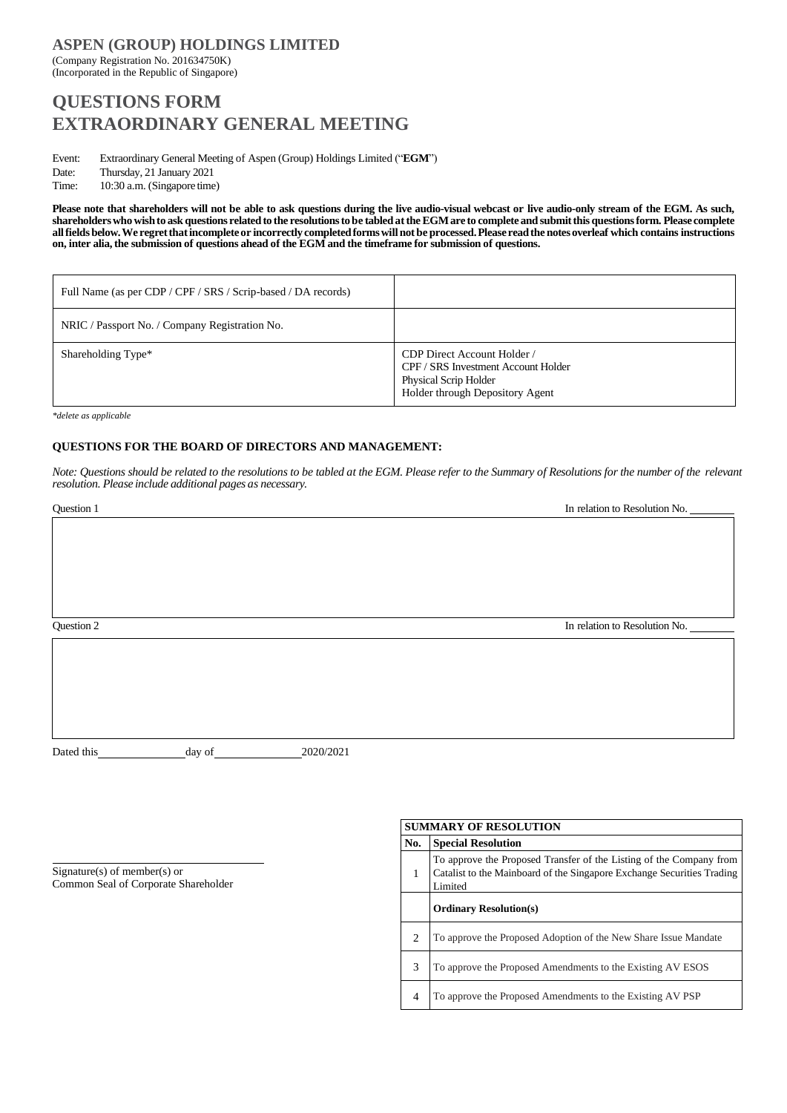## **ASPEN (GROUP) HOLDINGS LIMITED** (Company Registration No. 201634750K) (Incorporated in the Republic of Singapore)

# **QUESTIONS FORM EXTRAORDINARY GENERAL MEETING**

Event: Extraordinary General Meeting of Aspen (Group) Holdings Limited ("**EGM**") Date: Thursday, 21 January 2021

Time: 10:30 a.m. (Singapore time)

**Please note that shareholders will not be able to ask questions during the live audio-visual webcast or live audio-only stream of the EGM. As such, shareholderswho wishto ask questions relatedto the resolutionstobe tabledattheEGMare to completeand submitthis questionsform. Pleasecomplete allfieldsbelow.We regretthatincompleteor incorrectlycompletedformswillnotbe processed.Please readthe notesoverleaf which contains instructions** on, inter alia, the submission of questions ahead of the EGM and the timeframe for submission of questions.

| Full Name (as per CDP / CPF / SRS / Scrip-based / DA records) |                                                                                                                                       |
|---------------------------------------------------------------|---------------------------------------------------------------------------------------------------------------------------------------|
| NRIC / Passport No. / Company Registration No.                |                                                                                                                                       |
| Shareholding Type*                                            | CDP Direct Account Holder /<br>CPF / SRS Investment Account Holder<br><b>Physical Scrip Holder</b><br>Holder through Depository Agent |

*\*delete as applicable*

## **QUESTIONS FOR THE BOARD OF DIRECTORS AND MANAGEMENT:**

Note: Questions should be related to the resolutions to be tabled at the EGM. Please refer to the Summary of Resolutions for the number of the relevant *resolution. Please include additional pages as necessary.*

**Constitution 1** In relation 1 In relation 1 In relation 1 In relation 1 In relation No. Question 2 In relation to Resolution No.

Dated this day of 2020/2021

Signature(s) of member(s) or Common Seal of Corporate Shareholder

## **SUMMARY OF RESOLUTION No. Special Resolution** 1 To approve the Proposed Transfer of the Listing of the Company from Catalist to the Mainboard of the Singapore Exchange Securities Trading Limited **Ordinary Resolution(s)** 2 To approve the Proposed Adoption of the New Share Issue Mandate 3 To approve the Proposed Amendments to the Existing AV ESOS 4 To approve the Proposed Amendments to the Existing AV PSP